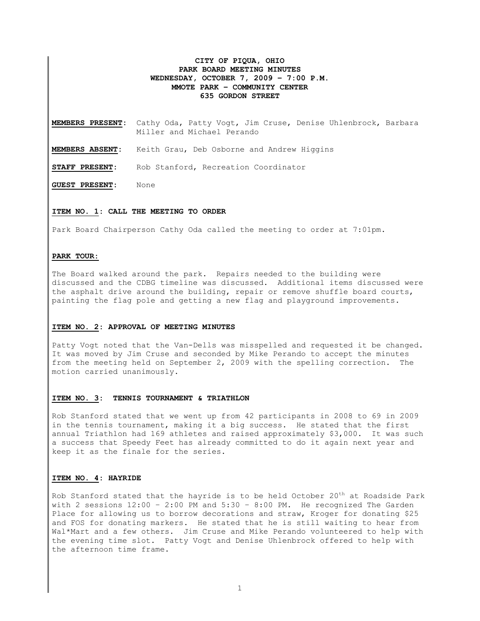# **CITY OF PIQUA, OHIO PARK BOARD MEETING MINUTES WEDNESDAY, OCTOBER 7, 2009 – 7:00 P.M. MMOTE PARK – COMMUNITY CENTER 635 GORDON STREET**

**MEMBERS PRESENT:** Cathy Oda, Patty Vogt, Jim Cruse, Denise Uhlenbrock, Barbara Miller and Michael Perando

**MEMBERS ABSENT:** Keith Grau, Deb Osborne and Andrew Higgins

**STAFF PRESENT:** Rob Stanford, Recreation Coordinator

**GUEST PRESENT:** None

# **ITEM NO. 1: CALL THE MEETING TO ORDER**

Park Board Chairperson Cathy Oda called the meeting to order at 7:01pm.

# **PARK TOUR:**

The Board walked around the park. Repairs needed to the building were discussed and the CDBG timeline was discussed. Additional items discussed were the asphalt drive around the building, repair or remove shuffle board courts, painting the flag pole and getting a new flag and playground improvements.

# **ITEM NO. 2: APPROVAL OF MEETING MINUTES**

Patty Vogt noted that the Van-Dells was misspelled and requested it be changed. It was moved by Jim Cruse and seconded by Mike Perando to accept the minutes from the meeting held on September 2, 2009 with the spelling correction. The motion carried unanimously.

## **ITEM NO. 3: TENNIS TOURNAMENT & TRIATHLON**

Rob Stanford stated that we went up from 42 participants in 2008 to 69 in 2009 in the tennis tournament, making it a big success. He stated that the first annual Triathlon had 169 athletes and raised approximately \$3,000. It was such a success that Speedy Feet has already committed to do it again next year and keep it as the finale for the series.

## **ITEM NO. 4: HAYRIDE**

Rob Stanford stated that the hayride is to be held October  $20<sup>th</sup>$  at Roadside Park with 2 sessions  $12:00 - 2:00$  PM and  $5:30 - 8:00$  PM. He recognized The Garden Place for allowing us to borrow decorations and straw, Kroger for donating \$25 and FOS for donating markers. He stated that he is still waiting to hear from Wal\*Mart and a few others. Jim Cruse and Mike Perando volunteered to help with the evening time slot. Patty Vogt and Denise Uhlenbrock offered to help with the afternoon time frame.